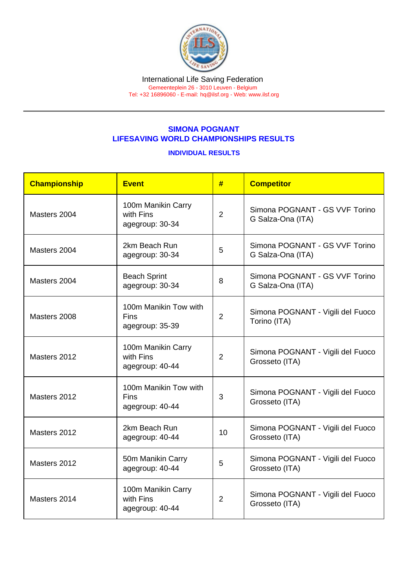## SIMONA POGNANT LIFESAVING WORLD CHAMPIONSHIPS RESULTS

## INDIVIDUAL RESULTS

| Championship | <b>Event</b>                                            | #              | <b>Competitor</b>                                   |
|--------------|---------------------------------------------------------|----------------|-----------------------------------------------------|
| Masters 2004 | 100m Manikin Carry<br>with Fins<br>agegroup: 30-34      | $\overline{2}$ | Simona POGNANT - GS VVF Torino<br>G Salza-Ona (ITA) |
| Masters 2004 | 2km Beach Run<br>agegroup: 30-34                        | 5              | Simona POGNANT - GS VVF Torino<br>G Salza-Ona (ITA) |
| Masters 2004 | <b>Beach Sprint</b><br>agegroup: 30-34                  | 8              | Simona POGNANT - GS VVF Torino<br>G Salza-Ona (ITA) |
| Masters 2008 | 100m Manikin Tow with<br><b>Fins</b><br>agegroup: 35-39 | $\overline{2}$ | Simona POGNANT - Vigili del Fuoco<br>Torino (ITA)   |
| Masters 2012 | 100m Manikin Carry<br>with Fins<br>agegroup: 40-44      | $\overline{2}$ | Simona POGNANT - Vigili del Fuoco<br>Grosseto (ITA) |
| Masters 2012 | 100m Manikin Tow with<br><b>Fins</b><br>agegroup: 40-44 | 3              | Simona POGNANT - Vigili del Fuoco<br>Grosseto (ITA) |
| Masters 2012 | 2km Beach Run<br>agegroup: 40-44                        | 10             | Simona POGNANT - Vigili del Fuoco<br>Grosseto (ITA) |
| Masters 2012 | 50m Manikin Carry<br>agegroup: 40-44                    | 5              | Simona POGNANT - Vigili del Fuoco<br>Grosseto (ITA) |
| Masters 2014 | 100m Manikin Carry<br>with Fins<br>agegroup: 40-44      | $\overline{2}$ | Simona POGNANT - Vigili del Fuoco<br>Grosseto (ITA) |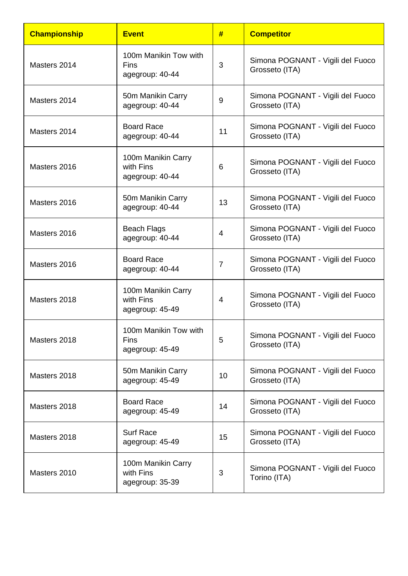| <b>Championship</b> | <b>Event</b>                                       | #              | <b>Competitor</b>                                   |
|---------------------|----------------------------------------------------|----------------|-----------------------------------------------------|
| Masters 2014        | 100m Manikin Tow with<br>Fins<br>agegroup: 40-44   | 3              | Simona POGNANT - Vigili del Fuoco<br>Grosseto (ITA) |
| Masters 2014        | 50m Manikin Carry<br>agegroup: 40-44               | 9              | Simona POGNANT - Vigili del Fuoco<br>Grosseto (ITA) |
| Masters 2014        | <b>Board Race</b><br>agegroup: 40-44               | 11             | Simona POGNANT - Vigili del Fuoco<br>Grosseto (ITA) |
| Masters 2016        | 100m Manikin Carry<br>with Fins<br>agegroup: 40-44 | 6              | Simona POGNANT - Vigili del Fuoco<br>Grosseto (ITA) |
| Masters 2016        | 50m Manikin Carry<br>agegroup: 40-44               | 13             | Simona POGNANT - Vigili del Fuoco<br>Grosseto (ITA) |
| Masters 2016        | <b>Beach Flags</b><br>agegroup: 40-44              | 4              | Simona POGNANT - Vigili del Fuoco<br>Grosseto (ITA) |
| Masters 2016        | <b>Board Race</b><br>agegroup: 40-44               | $\overline{7}$ | Simona POGNANT - Vigili del Fuoco<br>Grosseto (ITA) |
| Masters 2018        | 100m Manikin Carry<br>with Fins<br>agegroup: 45-49 | 4              | Simona POGNANT - Vigili del Fuoco<br>Grosseto (ITA) |
| Masters 2018        | 100m Manikin Tow with<br>Fins<br>agegroup: 45-49   | 5              | Simona POGNANT - Vigili del Fuoco<br>Grosseto (ITA) |
| Masters 2018        | 50m Manikin Carry<br>agegroup: 45-49               | 10             | Simona POGNANT - Vigili del Fuoco<br>Grosseto (ITA) |
| Masters 2018        | <b>Board Race</b><br>agegroup: 45-49               | 14             | Simona POGNANT - Vigili del Fuoco<br>Grosseto (ITA) |
| Masters 2018        | <b>Surf Race</b><br>agegroup: 45-49                | 15             | Simona POGNANT - Vigili del Fuoco<br>Grosseto (ITA) |
| Masters 2010        | 100m Manikin Carry<br>with Fins<br>agegroup: 35-39 | 3              | Simona POGNANT - Vigili del Fuoco<br>Torino (ITA)   |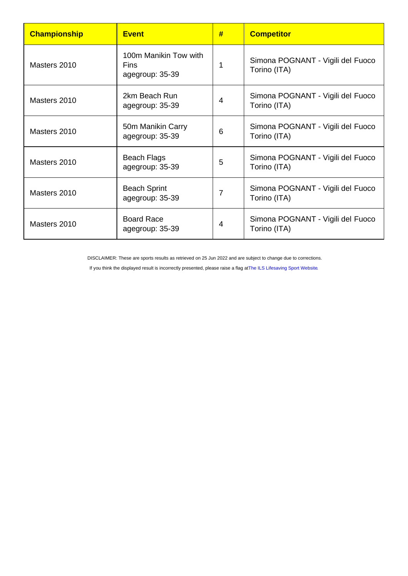| Championship | <b>Event</b>                                     | # | <b>Competitor</b>                                 |
|--------------|--------------------------------------------------|---|---------------------------------------------------|
| Masters 2010 | 100m Manikin Tow with<br>Fins<br>agegroup: 35-39 | 1 | Simona POGNANT - Vigili del Fuoco<br>Torino (ITA) |
| Masters 2010 | 2km Beach Run<br>agegroup: 35-39                 | 4 | Simona POGNANT - Vigili del Fuoco<br>Torino (ITA) |
| Masters 2010 | 50m Manikin Carry<br>agegroup: 35-39             | 6 | Simona POGNANT - Vigili del Fuoco<br>Torino (ITA) |
| Masters 2010 | <b>Beach Flags</b><br>agegroup: 35-39            | 5 | Simona POGNANT - Vigili del Fuoco<br>Torino (ITA) |
| Masters 2010 | <b>Beach Sprint</b><br>agegroup: 35-39           | 7 | Simona POGNANT - Vigili del Fuoco<br>Torino (ITA) |
| Masters 2010 | <b>Board Race</b><br>agegroup: 35-39             | 4 | Simona POGNANT - Vigili del Fuoco<br>Torino (ITA) |

DISCLAIMER: These are sports results as retrieved on 25 Jun 2022 and are subject to change due to corrections.

If you think the displayed result is incorrectly presented, please raise a flag at [The ILS Lifesaving Sport Website.](https://sport.ilsf.org)